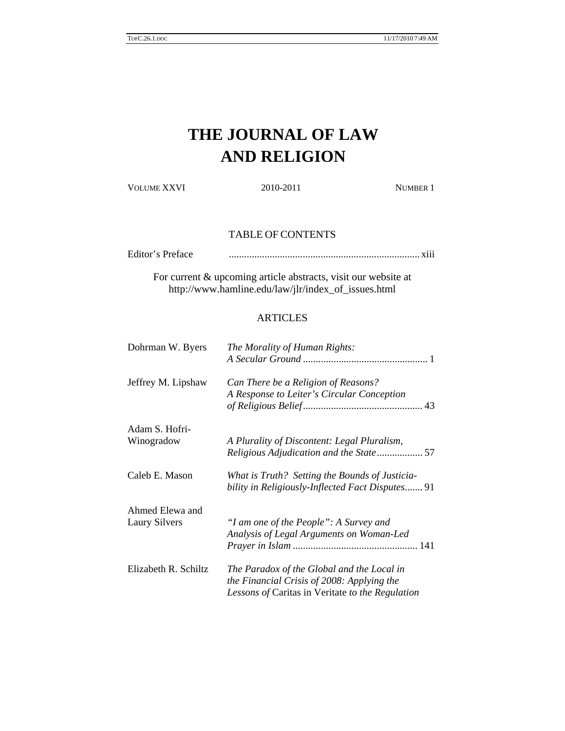# **THE JOURNAL OF LAW AND RELIGION**

VOLUME XXVI 2010-2011 NUMBER 1

# TABLE OF CONTENTS

Editor's Preface *...........................................................................* xiii

For current & upcoming article abstracts, visit our website at http://www.hamline.edu/law/jlr/index\_of\_issues.html

# ARTICLES

| Dohrman W. Byers     | The Morality of Human Rights:                    |
|----------------------|--------------------------------------------------|
| Jeffrey M. Lipshaw   | Can There be a Religion of Reasons?              |
|                      | A Response to Leiter's Circular Conception       |
| Adam S. Hofri-       |                                                  |
| Winogradow           | A Plurality of Discontent: Legal Pluralism,      |
|                      |                                                  |
| Caleb E. Mason       | What is Truth? Setting the Bounds of Justicia-   |
|                      | bility in Religiously-Inflected Fact Disputes 91 |
| Ahmed Elewa and      |                                                  |
| <b>Laury Silvers</b> | "I am one of the People": A Survey and           |
|                      | Analysis of Legal Arguments on Woman-Led         |
|                      |                                                  |
| Elizabeth R. Schiltz | The Paradox of the Global and the Local in       |
|                      | the Financial Crisis of 2008: Applying the       |
|                      | Lessons of Caritas in Veritate to the Regulation |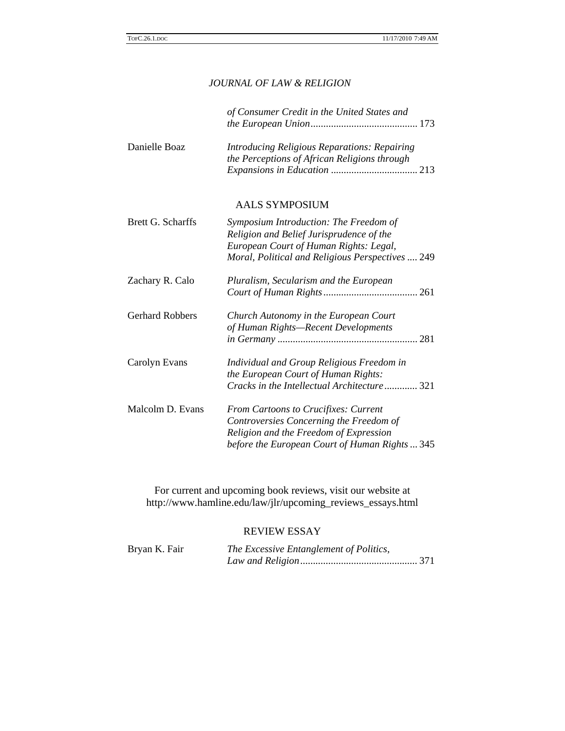# *JOURNAL OF LAW & RELIGION*

|                        | of Consumer Credit in the United States and                                                                                                                                        |
|------------------------|------------------------------------------------------------------------------------------------------------------------------------------------------------------------------------|
| Danielle Boaz          | <b>Introducing Religious Reparations: Repairing</b><br>the Perceptions of African Religions through                                                                                |
|                        | <b>AALS SYMPOSIUM</b>                                                                                                                                                              |
| Brett G. Scharffs      | Symposium Introduction: The Freedom of<br>Religion and Belief Jurisprudence of the<br>European Court of Human Rights: Legal,<br>Moral, Political and Religious Perspectives  249   |
| Zachary R. Calo        | Pluralism, Secularism and the European                                                                                                                                             |
| <b>Gerhard Robbers</b> | Church Autonomy in the European Court<br>of Human Rights-Recent Developments                                                                                                       |
| Carolyn Evans          | Individual and Group Religious Freedom in<br>the European Court of Human Rights:<br>Cracks in the Intellectual Architecture 321                                                    |
| Malcolm D. Evans       | <b>From Cartoons to Crucifixes: Current</b><br>Controversies Concerning the Freedom of<br>Religion and the Freedom of Expression<br>before the European Court of Human Rights  345 |

For current and upcoming book reviews, visit our website at http://www.hamline.edu/law/jlr/upcoming\_reviews\_essays.html

### REVIEW ESSAY

| Bryan K. Fair | The Excessive Entanglement of Politics, |  |
|---------------|-----------------------------------------|--|
|               |                                         |  |